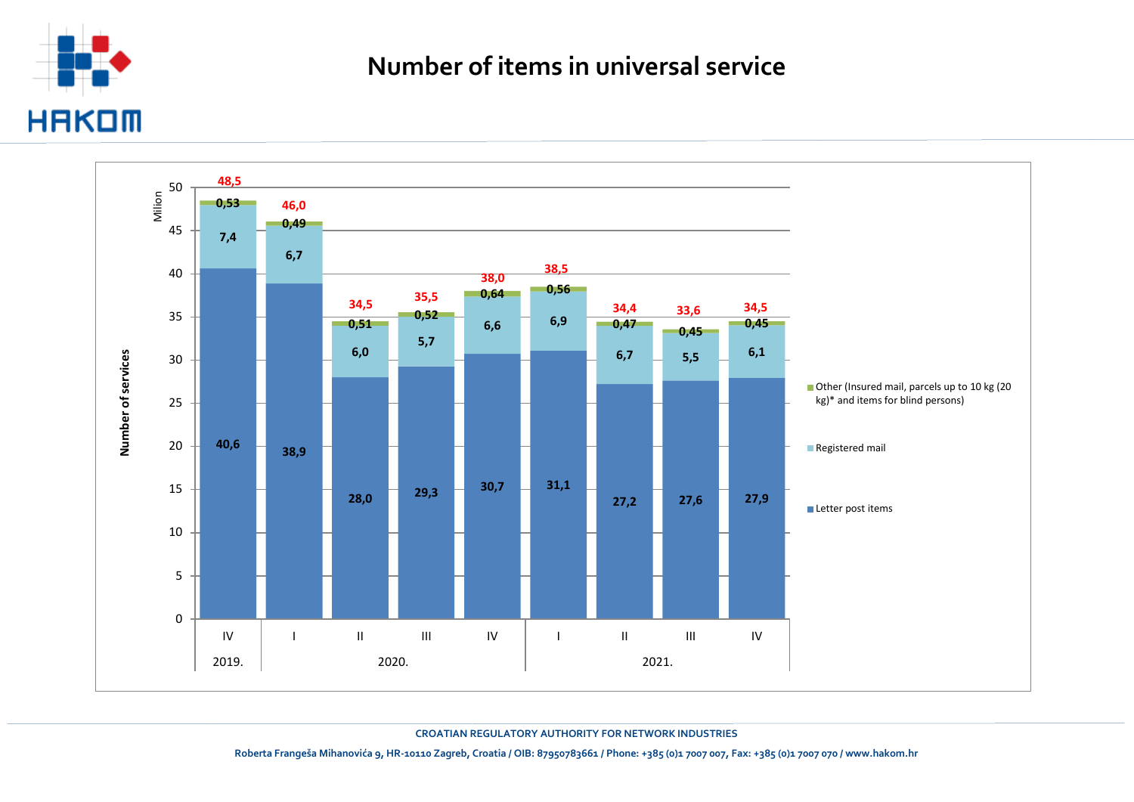

## **Number of items in universal service**



**CROATIAN REGULATORY AUTHORITY FOR NETWORK INDUSTRIES**